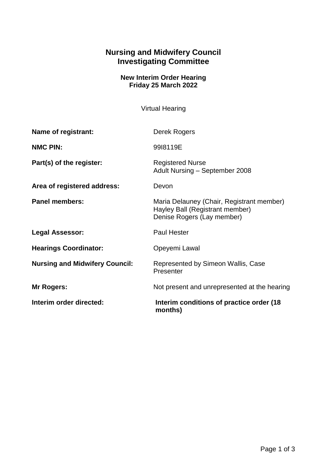## **Nursing and Midwifery Council Investigating Committee**

## **New Interim Order Hearing Friday 25 March 2022**

Virtual Hearing

| Interim order directed:               | Interim conditions of practice order (18)<br>months)                                                       |
|---------------------------------------|------------------------------------------------------------------------------------------------------------|
| Mr Rogers:                            | Not present and unrepresented at the hearing                                                               |
| <b>Nursing and Midwifery Council:</b> | Represented by Simeon Wallis, Case<br>Presenter                                                            |
| <b>Hearings Coordinator:</b>          | Opeyemi Lawal                                                                                              |
| <b>Legal Assessor:</b>                | <b>Paul Hester</b>                                                                                         |
| <b>Panel members:</b>                 | Maria Delauney (Chair, Registrant member)<br>Hayley Ball (Registrant member)<br>Denise Rogers (Lay member) |
| Area of registered address:           | Devon                                                                                                      |
| Part(s) of the register:              | <b>Registered Nurse</b><br>Adult Nursing - September 2008                                                  |
| <b>NMC PIN:</b>                       | 9918119E                                                                                                   |
| Name of registrant:                   | Derek Rogers                                                                                               |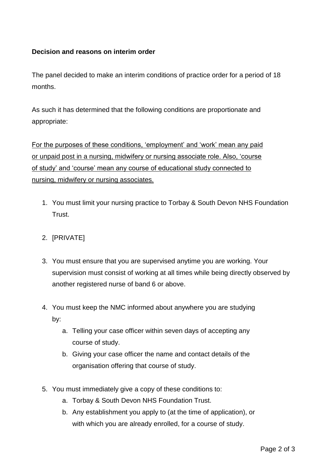## **Decision and reasons on interim order**

The panel decided to make an interim conditions of practice order for a period of 18 months.

As such it has determined that the following conditions are proportionate and appropriate:

For the purposes of these conditions, 'employment' and 'work' mean any paid or unpaid post in a nursing, midwifery or nursing associate role. Also, 'course of study' and 'course' mean any course of educational study connected to nursing, midwifery or nursing associates.

1. You must limit your nursing practice to Torbay & South Devon NHS Foundation Trust.

## 2. [PRIVATE]

- 3. You must ensure that you are supervised anytime you are working. Your supervision must consist of working at all times while being directly observed by another registered nurse of band 6 or above.
- 4. You must keep the NMC informed about anywhere you are studying by:
	- a. Telling your case officer within seven days of accepting any course of study.
	- b. Giving your case officer the name and contact details of the organisation offering that course of study.
- 5. You must immediately give a copy of these conditions to:
	- a. Torbay & South Devon NHS Foundation Trust.
	- b. Any establishment you apply to (at the time of application), or with which you are already enrolled, for a course of study.